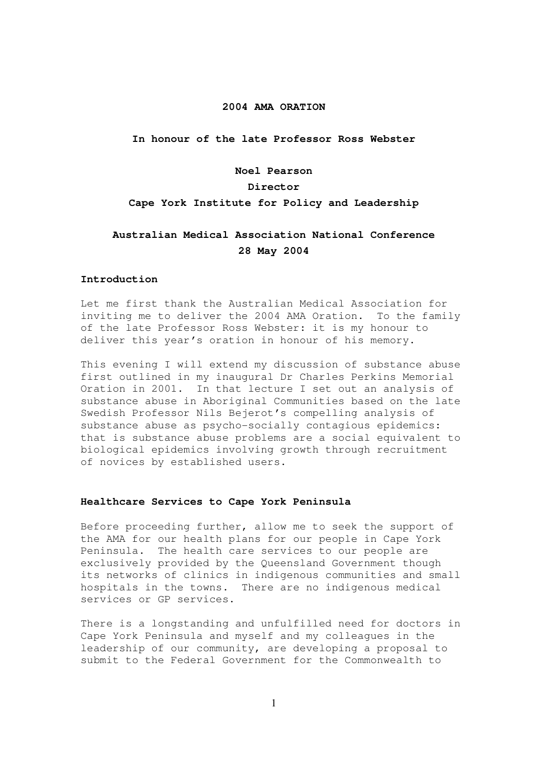### **2004 AMA ORATION**

**In honour of the late Professor Ross Webster** 

#### **Noel Pearson**

### **Director**

### **Cape York Institute for Policy and Leadership**

# **Australian Medical Association National Conference 28 May 2004**

#### **Introduction**

Let me first thank the Australian Medical Association for inviting me to deliver the 2004 AMA Oration. To the family of the late Professor Ross Webster: it is my honour to deliver this year's oration in honour of his memory.

This evening I will extend my discussion of substance abuse first outlined in my inaugural Dr Charles Perkins Memorial Oration in 2001. In that lecture I set out an analysis of substance abuse in Aboriginal Communities based on the late Swedish Professor Nils Bejerot's compelling analysis of substance abuse as psycho-socially contagious epidemics: that is substance abuse problems are a social equivalent to biological epidemics involving growth through recruitment of novices by established users.

#### **Healthcare Services to Cape York Peninsula**

Before proceeding further, allow me to seek the support of the AMA for our health plans for our people in Cape York Peninsula. The health care services to our people are exclusively provided by the Queensland Government though its networks of clinics in indigenous communities and small hospitals in the towns. There are no indigenous medical services or GP services.

There is a longstanding and unfulfilled need for doctors in Cape York Peninsula and myself and my colleagues in the leadership of our community, are developing a proposal to submit to the Federal Government for the Commonwealth to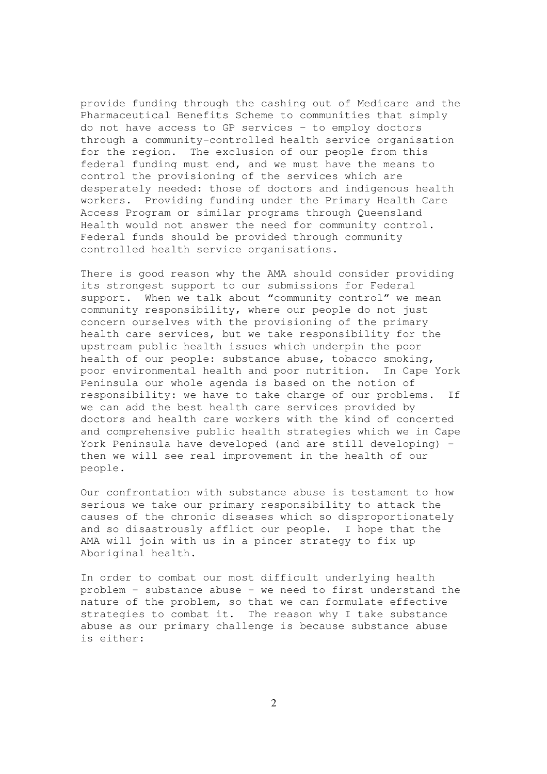provide funding through the cashing out of Medicare and the Pharmaceutical Benefits Scheme to communities that simply do not have access to GP services – to employ doctors through a community-controlled health service organisation for the region. The exclusion of our people from this federal funding must end, and we must have the means to control the provisioning of the services which are desperately needed: those of doctors and indigenous health workers. Providing funding under the Primary Health Care Access Program or similar programs through Queensland Health would not answer the need for community control. Federal funds should be provided through community controlled health service organisations.

There is good reason why the AMA should consider providing its strongest support to our submissions for Federal support. When we talk about "community control" we mean community responsibility, where our people do not just concern ourselves with the provisioning of the primary health care services, but we take responsibility for the upstream public health issues which underpin the poor health of our people: substance abuse, tobacco smoking, poor environmental health and poor nutrition. In Cape York Peninsula our whole agenda is based on the notion of responsibility: we have to take charge of our problems. If we can add the best health care services provided by doctors and health care workers with the kind of concerted and comprehensive public health strategies which we in Cape York Peninsula have developed (and are still developing) – then we will see real improvement in the health of our people.

Our confrontation with substance abuse is testament to how serious we take our primary responsibility to attack the causes of the chronic diseases which so disproportionately and so disastrously afflict our people. I hope that the AMA will join with us in a pincer strategy to fix up Aboriginal health.

In order to combat our most difficult underlying health problem – substance abuse – we need to first understand the nature of the problem, so that we can formulate effective strategies to combat it. The reason why I take substance abuse as our primary challenge is because substance abuse is either: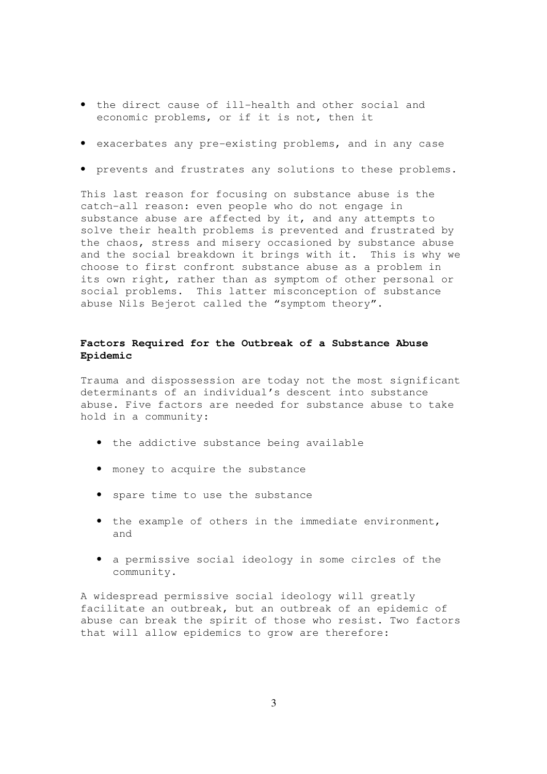- the direct cause of ill-health and other social and economic problems, or if it is not, then it
- exacerbates any pre-existing problems, and in any case
- prevents and frustrates any solutions to these problems.

This last reason for focusing on substance abuse is the catch-all reason: even people who do not engage in substance abuse are affected by it, and any attempts to solve their health problems is prevented and frustrated by the chaos, stress and misery occasioned by substance abuse and the social breakdown it brings with it. This is why we choose to first confront substance abuse as a problem in its own right, rather than as symptom of other personal or social problems. This latter misconception of substance abuse Nils Bejerot called the "symptom theory".

# **Factors Required for the Outbreak of a Substance Abuse Epidemic**

Trauma and dispossession are today not the most significant determinants of an individual's descent into substance abuse. Five factors are needed for substance abuse to take hold in a community:

- the addictive substance being available
- money to acquire the substance
- spare time to use the substance
- the example of others in the immediate environment, and
- a permissive social ideology in some circles of the community.

A widespread permissive social ideology will greatly facilitate an outbreak, but an outbreak of an epidemic of abuse can break the spirit of those who resist. Two factors that will allow epidemics to grow are therefore: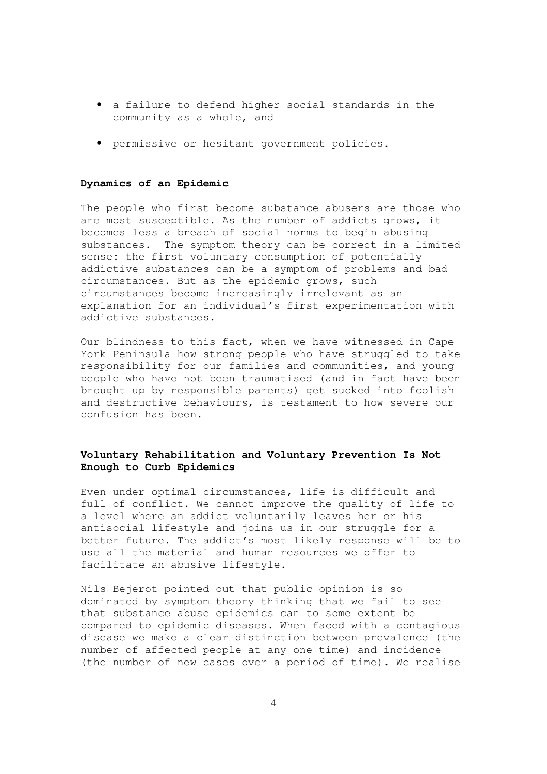- a failure to defend higher social standards in the community as a whole, and
- permissive or hesitant government policies.

### **Dynamics of an Epidemic**

The people who first become substance abusers are those who are most susceptible. As the number of addicts grows, it becomes less a breach of social norms to begin abusing substances. The symptom theory can be correct in a limited sense: the first voluntary consumption of potentially addictive substances can be a symptom of problems and bad circumstances. But as the epidemic grows, such circumstances become increasingly irrelevant as an explanation for an individual's first experimentation with addictive substances.

Our blindness to this fact, when we have witnessed in Cape York Peninsula how strong people who have struggled to take responsibility for our families and communities, and young people who have not been traumatised (and in fact have been brought up by responsible parents) get sucked into foolish and destructive behaviours, is testament to how severe our confusion has been.

## **Voluntary Rehabilitation and Voluntary Prevention Is Not Enough to Curb Epidemics**

Even under optimal circumstances, life is difficult and full of conflict. We cannot improve the quality of life to a level where an addict voluntarily leaves her or his antisocial lifestyle and joins us in our struggle for a better future. The addict's most likely response will be to use all the material and human resources we offer to facilitate an abusive lifestyle.

Nils Bejerot pointed out that public opinion is so dominated by symptom theory thinking that we fail to see that substance abuse epidemics can to some extent be compared to epidemic diseases. When faced with a contagious disease we make a clear distinction between prevalence (the number of affected people at any one time) and incidence (the number of new cases over a period of time). We realise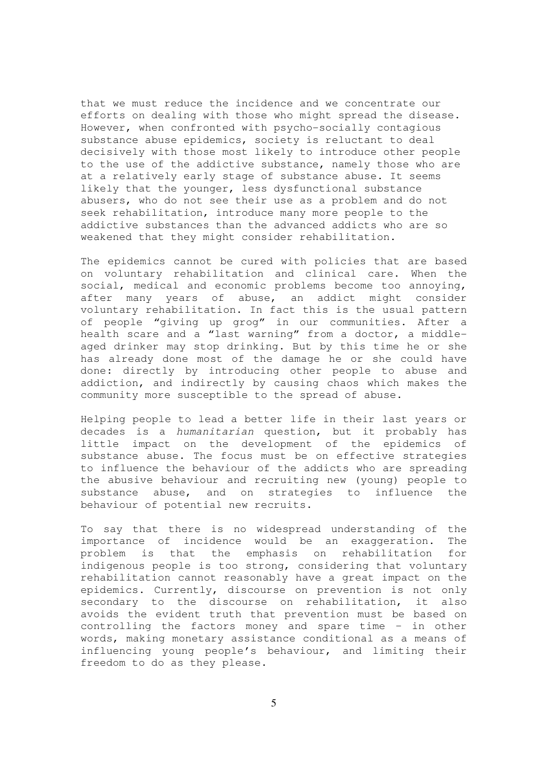that we must reduce the incidence and we concentrate our efforts on dealing with those who might spread the disease. However, when confronted with psycho-socially contagious substance abuse epidemics, society is reluctant to deal decisively with those most likely to introduce other people to the use of the addictive substance, namely those who are at a relatively early stage of substance abuse. It seems likely that the younger, less dysfunctional substance abusers, who do not see their use as a problem and do not seek rehabilitation, introduce many more people to the addictive substances than the advanced addicts who are so weakened that they might consider rehabilitation.

The epidemics cannot be cured with policies that are based on voluntary rehabilitation and clinical care. When the social, medical and economic problems become too annoying, after many years of abuse, an addict might consider voluntary rehabilitation. In fact this is the usual pattern of people "giving up grog" in our communities. After a health scare and a "last warning" from a doctor, a middleaged drinker may stop drinking. But by this time he or she has already done most of the damage he or she could have done: directly by introducing other people to abuse and addiction, and indirectly by causing chaos which makes the community more susceptible to the spread of abuse.

Helping people to lead a better life in their last years or decades is a humanitarian question, but it probably has little impact on the development of the epidemics of substance abuse. The focus must be on effective strategies to influence the behaviour of the addicts who are spreading the abusive behaviour and recruiting new (young) people to substance abuse, and on strategies to influence the behaviour of potential new recruits.

To say that there is no widespread understanding of the importance of incidence would be an exaggeration. The problem is that the emphasis on rehabilitation for indigenous people is too strong, considering that voluntary rehabilitation cannot reasonably have a great impact on the epidemics. Currently, discourse on prevention is not only secondary to the discourse on rehabilitation, it also avoids the evident truth that prevention must be based on controlling the factors money and spare time – in other words, making monetary assistance conditional as a means of influencing young people's behaviour, and limiting their freedom to do as they please.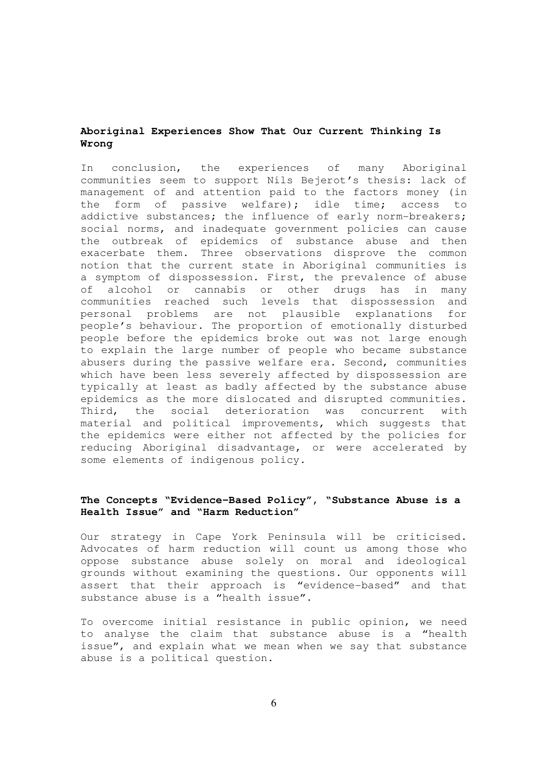# **Aboriginal Experiences Show That Our Current Thinking Is Wrong**

In conclusion, the experiences of many Aboriginal communities seem to support Nils Bejerot's thesis: lack of management of and attention paid to the factors money (in the form of passive welfare); idle time; access to addictive substances; the influence of early norm-breakers; social norms, and inadequate government policies can cause the outbreak of epidemics of substance abuse and then exacerbate them. Three observations disprove the common notion that the current state in Aboriginal communities is a symptom of dispossession. First, the prevalence of abuse of alcohol or cannabis or other drugs has in many communities reached such levels that dispossession and personal problems are not plausible explanations for people's behaviour. The proportion of emotionally disturbed people before the epidemics broke out was not large enough to explain the large number of people who became substance abusers during the passive welfare era. Second, communities which have been less severely affected by dispossession are typically at least as badly affected by the substance abuse epidemics as the more dislocated and disrupted communities. Third, the social deterioration was concurrent with material and political improvements, which suggests that the epidemics were either not affected by the policies for reducing Aboriginal disadvantage, or were accelerated by some elements of indigenous policy.

# **The Concepts "Evidence-Based Policy", "Substance Abuse is a Health Issue" and "Harm Reduction"**

Our strategy in Cape York Peninsula will be criticised. Advocates of harm reduction will count us among those who oppose substance abuse solely on moral and ideological grounds without examining the questions. Our opponents will assert that their approach is "evidence-based" and that substance abuse is a "health issue".

To overcome initial resistance in public opinion, we need to analyse the claim that substance abuse is a "health issue", and explain what we mean when we say that substance abuse is a political question.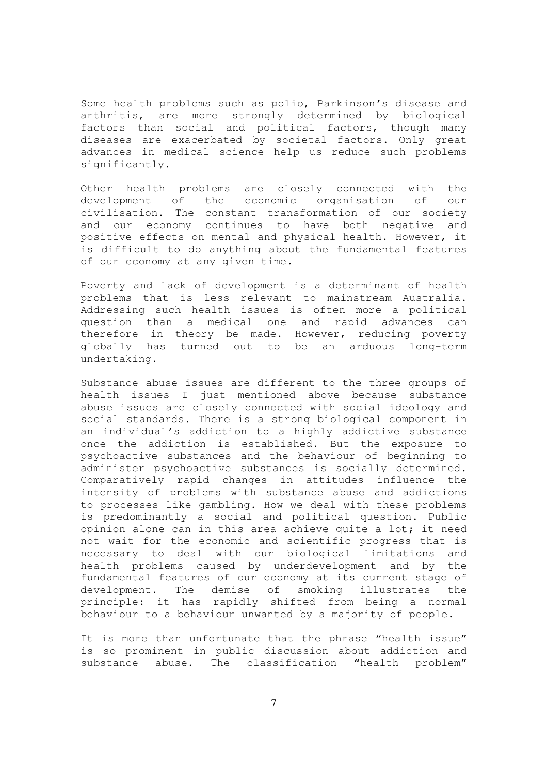Some health problems such as polio, Parkinson's disease and arthritis, are more strongly determined by biological factors than social and political factors, though many diseases are exacerbated by societal factors. Only great advances in medical science help us reduce such problems significantly.

Other health problems are closely connected with the development of the economic organisation of our civilisation. The constant transformation of our society and our economy continues to have both negative and positive effects on mental and physical health. However, it is difficult to do anything about the fundamental features of our economy at any given time.

Poverty and lack of development is a determinant of health problems that is less relevant to mainstream Australia. .<br>Addressing such health issues is often more a political question than a medical one and rapid advances can therefore in theory be made. However, reducing poverty globally has turned out to be an arduous long-term undertaking.

Substance abuse issues are different to the three groups of health issues I just mentioned above because substance abuse issues are closely connected with social ideology and social standards. There is a strong biological component in an individual's addiction to a highly addictive substance once the addiction is established. But the exposure to psychoactive substances and the behaviour of beginning to administer psychoactive substances is socially determined. Comparatively rapid changes in attitudes influence the intensity of problems with substance abuse and addictions to processes like gambling. How we deal with these problems is predominantly a social and political question. Public opinion alone can in this area achieve quite a lot; it need not wait for the economic and scientific progress that is necessary to deal with our biological limitations and health problems caused by underdevelopment and by the fundamental features of our economy at its current stage of development. The demise of smoking illustrates the principle: it has rapidly shifted from being a normal behaviour to a behaviour unwanted by a majority of people.

It is more than unfortunate that the phrase "health issue" is so prominent in public discussion about addiction and substance abuse. The classification "health problem"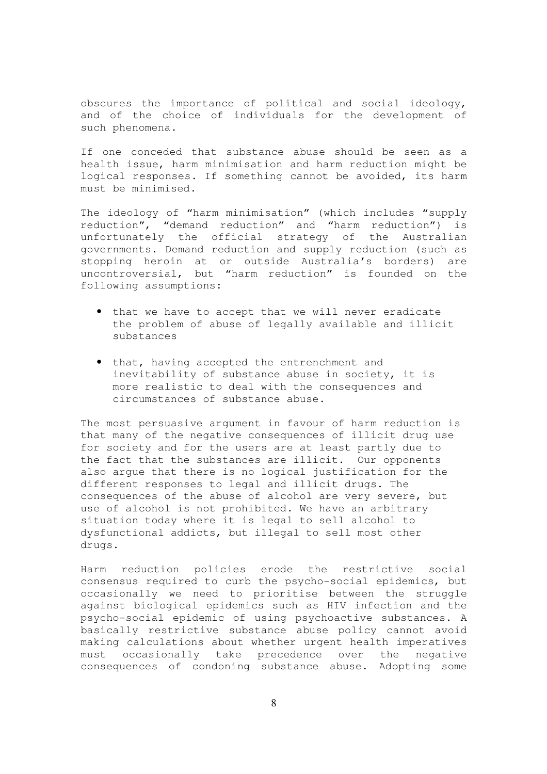obscures the importance of political and social ideology, and of the choice of individuals for the development of such phenomena.

If one conceded that substance abuse should be seen as a health issue, harm minimisation and harm reduction might be logical responses. If something cannot be avoided, its harm must be minimised.

The ideology of "harm minimisation" (which includes "supply reduction", "demand reduction" and "harm reduction") is unfortunately the official strategy of the Australian governments. Demand reduction and supply reduction (such as stopping heroin at or outside Australia's borders) are uncontroversial, but "harm reduction" is founded on the following assumptions:

- that we have to accept that we will never eradicate the problem of abuse of legally available and illicit substances
- that, having accepted the entrenchment and inevitability of substance abuse in society, it is more realistic to deal with the consequences and circumstances of substance abuse.

The most persuasive argument in favour of harm reduction is that many of the negative consequences of illicit drug use for society and for the users are at least partly due to the fact that the substances are illicit. Our opponents also argue that there is no logical justification for the different responses to legal and illicit drugs. The consequences of the abuse of alcohol are very severe, but use of alcohol is not prohibited. We have an arbitrary situation today where it is legal to sell alcohol to dysfunctional addicts, but illegal to sell most other drugs.

Harm reduction policies erode the restrictive social consensus required to curb the psycho-social epidemics, but occasionally we need to prioritise between the struggle against biological epidemics such as HIV infection and the psycho-social epidemic of using psychoactive substances. A basically restrictive substance abuse policy cannot avoid making calculations about whether urgent health imperatives must occasionally take precedence over the negative consequences of condoning substance abuse. Adopting some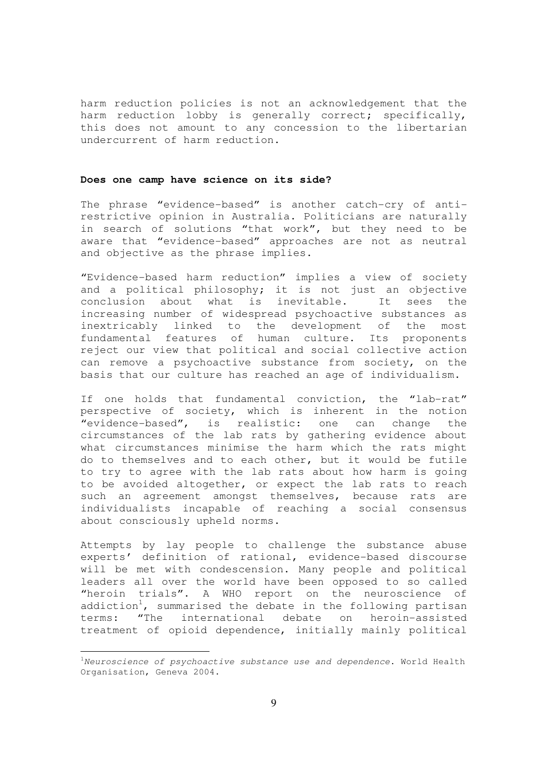harm reduction policies is not an acknowledgement that the harm reduction lobby is generally correct; specifically, this does not amount to any concession to the libertarian undercurrent of harm reduction.

### **Does one camp have science on its side?**

The phrase "evidence-based" is another catch-cry of antirestrictive opinion in Australia. Politicians are naturally in search of solutions "that work", but they need to be aware that "evidence-based" approaches are not as neutral and objective as the phrase implies.

"Evidence-based harm reduction" implies a view of society and a political philosophy; it is not just an objective conclusion about what is inevitable. It sees the increasing number of widespread psychoactive substances as inextricably linked to the development of the most fundamental features of human culture. Its proponents reject our view that political and social collective action can remove a psychoactive substance from society, on the basis that our culture has reached an age of individualism.

If one holds that fundamental conviction, the "lab-rat" perspective of society, which is inherent in the notion "evidence-based", is realistic: one can change the circumstances of the lab rats by gathering evidence about what circumstances minimise the harm which the rats might do to themselves and to each other, but it would be futile to try to agree with the lab rats about how harm is going to be avoided altogether, or expect the lab rats to reach such an agreement amongst themselves, because rats are individualists incapable of reaching a social consensus about consciously upheld norms.

Attempts by lay people to challenge the substance abuse experts' definition of rational, evidence-based discourse will be met with condescension. Many people and political leaders all over the world have been opposed to so called "heroin trials". A WHO report on the neuroscience of addiction<sup>1</sup>, summarised the debate in the following partisan terms: "The international debate on heroin-assisted treatment of opioid dependence, initially mainly political

 $\overline{a}$ 

 $1$ Neuroscience of psychoactive substance use and dependence. World Health Organisation, Geneva 2004.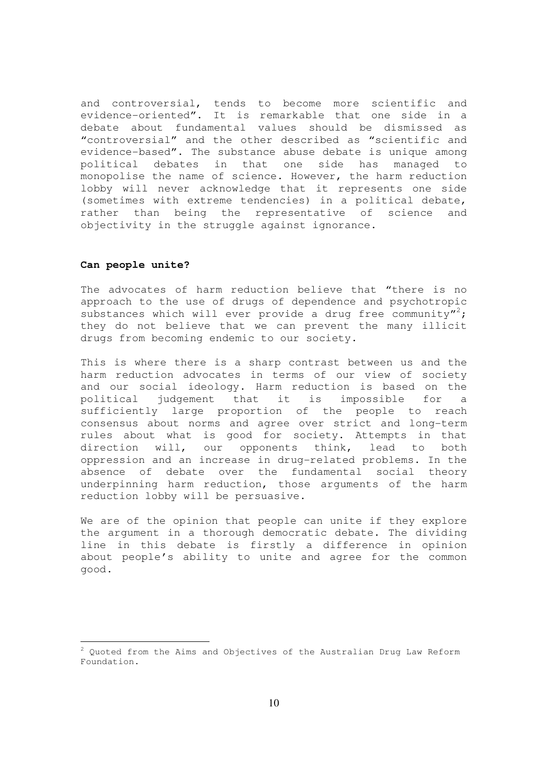and controversial, tends to become more scientific and evidence-oriented". It is remarkable that one side in a debate about fundamental values should be dismissed as "controversial" and the other described as "scientific and evidence-based". The substance abuse debate is unique among political debates in that one side has managed to monopolise the name of science. However, the harm reduction lobby will never acknowledge that it represents one side (sometimes with extreme tendencies) in a political debate, rather than being the representative of science and objectivity in the struggle against ignorance.

### **Can people unite?**

 $\overline{a}$ 

The advocates of harm reduction believe that "there is no approach to the use of drugs of dependence and psychotropic substances which will ever provide a drug free community"?; they do not believe that we can prevent the many illicit drugs from becoming endemic to our society.

This is where there is a sharp contrast between us and the harm reduction advocates in terms of our view of society and our social ideology. Harm reduction is based on the political judgement that it is impossible for a sufficiently large proportion of the people to reach consensus about norms and agree over strict and long-term rules about what is good for society. Attempts in that direction will, our opponents think, lead to both oppression and an increase in drug-related problems. In the absence of debate over the fundamental social theory underpinning harm reduction, those arguments of the harm reduction lobby will be persuasive.

We are of the opinion that people can unite if they explore the argument in a thorough democratic debate. The dividing line in this debate is firstly a difference in opinion about people's ability to unite and agree for the common good.

 $2$  Quoted from the Aims and Objectives of the Australian Drug Law Reform Foundation.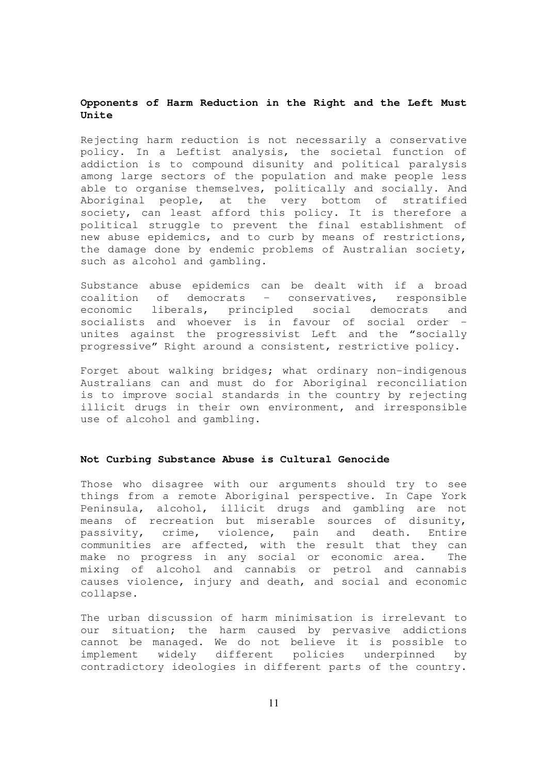# **Opponents of Harm Reduction in the Right and the Left Must Unite**

Rejecting harm reduction is not necessarily a conservative policy. In a Leftist analysis, the societal function of addiction is to compound disunity and political paralysis among large sectors of the population and make people less able to organise themselves, politically and socially. And Aboriginal people, at the very bottom of stratified society, can least afford this policy. It is therefore a political struggle to prevent the final establishment of new abuse epidemics, and to curb by means of restrictions, the damage done by endemic problems of Australian society, such as alcohol and gambling.

Substance abuse epidemics can be dealt with if a broad coalition of democrats – conservatives, responsible economic liberals, principled social democrats and socialists and whoever is in favour of social order – unites against the progressivist Left and the "socially progressive" Right around a consistent, restrictive policy.

Forget about walking bridges; what ordinary non-indigenous Australians can and must do for Aboriginal reconciliation is to improve social standards in the country by rejecting illicit drugs in their own environment, and irresponsible use of alcohol and gambling.

### **Not Curbing Substance Abuse is Cultural Genocide**

Those who disagree with our arguments should try to see things from a remote Aboriginal perspective. In Cape York Peninsula, alcohol, illicit drugs and gambling are not means of recreation but miserable sources of disunity, passivity, crime, violence, pain and death. Entire communities are affected, with the result that they can make no progress in any social or economic area. The mixing of alcohol and cannabis or petrol and cannabis causes violence, injury and death, and social and economic collapse.

The urban discussion of harm minimisation is irrelevant to our situation; the harm caused by pervasive addictions cannot be managed. We do not believe it is possible to implement widely different policies underpinned by contradictory ideologies in different parts of the country.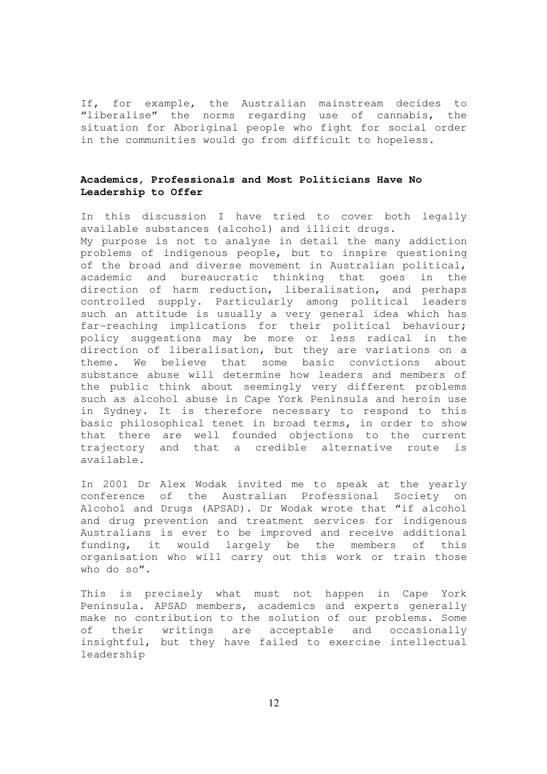If, for example, the Australian mainstream decides to "liberalise" the norms regarding use of cannabis, the situation for Aboriginal people who fight for social order in the communities would go from difficult to hopeless.

# **Academics, Professionals and Most Politicians Have No Leadership to Offer**

In this discussion I have tried to cover both legally available substances (alcohol) and illicit drugs.

My purpose is not to analyse in detail the many addiction problems of indigenous people, but to inspire questioning of the broad and diverse movement in Australian political, academic and bureaucratic thinking that goes in the direction of harm reduction, liberalisation, and perhaps controlled supply. Particularly among political leaders such an attitude is usually a very general idea which has far-reaching implications for their political behaviour; policy suggestions may be more or less radical in the direction of liberalisation, but they are variations on a theme. We believe that some basic convictions about substance abuse will determine how leaders and members of the public think about seemingly very different problems such as alcohol abuse in Cape York Peninsula and heroin use in Sydney. It is therefore necessary to respond to this basic philosophical tenet in broad terms, in order to show that there are well founded objections to the current trajectory and that a credible alternative route is available.

In 2001 Dr Alex Wodak invited me to speak at the yearly conference of the Australian Professional Society on Alcohol and Drugs (APSAD). Dr Wodak wrote that "if alcohol and drug prevention and treatment services for indigenous Australians is ever to be improved and receive additional funding, it would largely be the members of this organisation who will carry out this work or train those who do so".

This is precisely what must not happen in Cape York Peninsula. APSAD members, academics and experts generally make no contribution to the solution of our problems. Some of their writings are acceptable and occasionally insightful, but they have failed to exercise intellectual leadership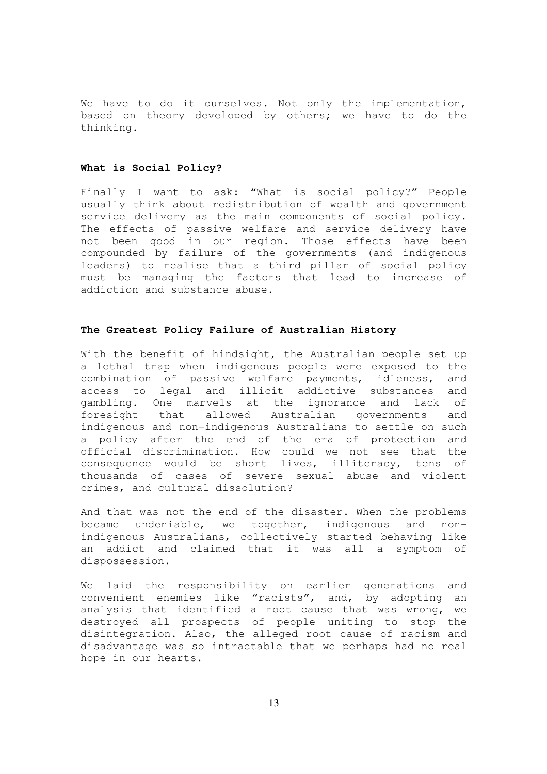We have to do it ourselves. Not only the implementation, based on theory developed by others; we have to do the thinking.

### **What is Social Policy?**

Finally I want to ask: "What is social policy?" People usually think about redistribution of wealth and government service delivery as the main components of social policy. The effects of passive welfare and service delivery have not been good in our region. Those effects have been compounded by failure of the governments (and indigenous leaders) to realise that a third pillar of social policy must be managing the factors that lead to increase of addiction and substance abuse.

### **The Greatest Policy Failure of Australian History**

With the benefit of hindsight, the Australian people set up a lethal trap when indigenous people were exposed to the combination of passive welfare payments, idleness, and access to legal and illicit addictive substances and gambling. One marvels at the ignorance and lack of foresight that allowed Australian governments and indigenous and non-indigenous Australians to settle on such a policy after the end of the era of protection and official discrimination. How could we not see that the consequence would be short lives, illiteracy, tens of thousands of cases of severe sexual abuse and violent crimes, and cultural dissolution?

And that was not the end of the disaster. When the problems became undeniable, we together, indigenous and nonindigenous Australians, collectively started behaving like an addict and claimed that it was all a symptom of dispossession.

We laid the responsibility on earlier generations and convenient enemies like "racists", and, by adopting an analysis that identified a root cause that was wrong, we destroyed all prospects of people uniting to stop the disintegration. Also, the alleged root cause of racism and disadvantage was so intractable that we perhaps had no real hope in our hearts.